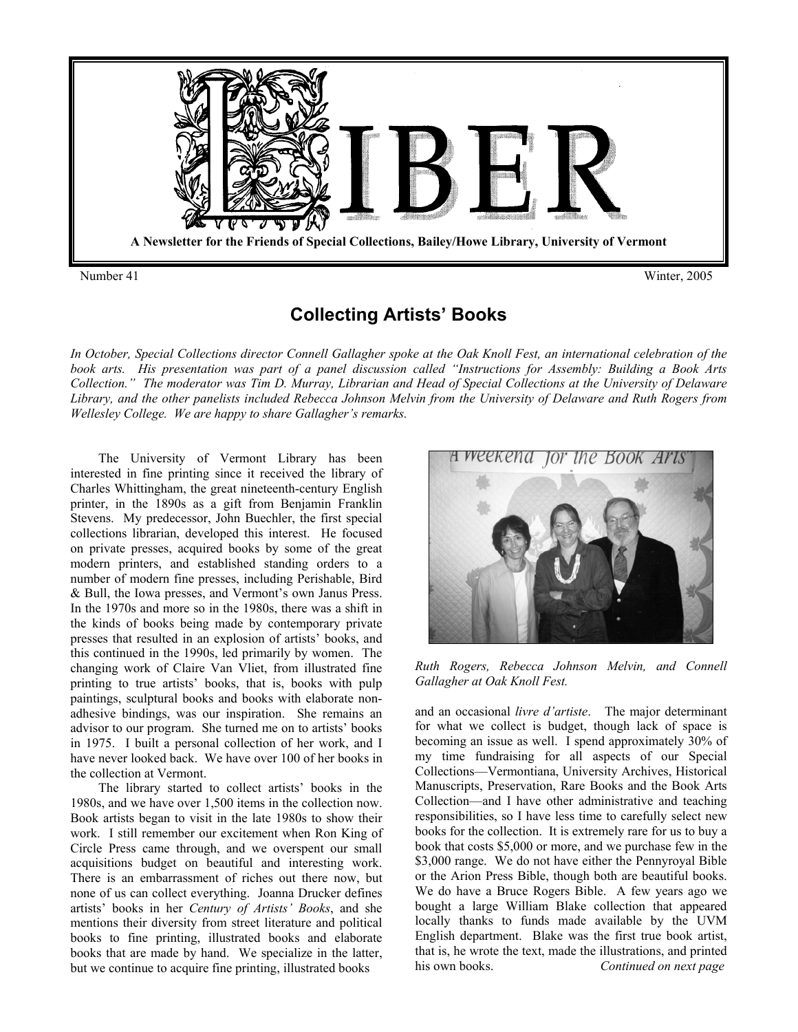

### **Collecting Artists' Books**

*In October, Special Collections director Connell Gallagher spoke at the Oak Knoll Fest, an international celebration of the book arts. His presentation was part of a panel discussion called "Instructions for Assembly: Building a Book Arts Collection." The moderator was Tim D. Murray, Librarian and Head of Special Collections at the University of Delaware Library, and the other panelists included Rebecca Johnson Melvin from the University of Delaware and Ruth Rogers from Wellesley College. We are happy to share Gallagher's remarks.* 

The University of Vermont Library has been interested in fine printing since it received the library of Charles Whittingham, the great nineteenth-century English printer, in the 1890s as a gift from Benjamin Franklin Stevens. My predecessor, John Buechler, the first special collections librarian, developed this interest. He focused on private presses, acquired books by some of the great modern printers, and established standing orders to a number of modern fine presses, including Perishable, Bird & Bull, the Iowa presses, and Vermont's own Janus Press. In the 1970s and more so in the 1980s, there was a shift in the kinds of books being made by contemporary private presses that resulted in an explosion of artists' books, and this continued in the 1990s, led primarily by women. The changing work of Claire Van Vliet, from illustrated fine printing to true artists' books, that is, books with pulp paintings, sculptural books and books with elaborate nonadhesive bindings, was our inspiration. She remains an advisor to our program. She turned me on to artists' books in 1975. I built a personal collection of her work, and I have never looked back. We have over 100 of her books in the collection at Vermont.

The library started to collect artists' books in the 1980s, and we have over 1,500 items in the collection now. Book artists began to visit in the late 1980s to show their work. I still remember our excitement when Ron King of Circle Press came through, and we overspent our small acquisitions budget on beautiful and interesting work. There is an embarrassment of riches out there now, but none of us can collect everything. Joanna Drucker defines artists' books in her *Century of Artists' Books*, and she mentions their diversity from street literature and political books to fine printing, illustrated books and elaborate books that are made by hand. We specialize in the latter, but we continue to acquire fine printing, illustrated books



*Ruth Rogers, Rebecca Johnson Melvin, and Connell Gallagher at Oak Knoll Fest.* 

and an occasional *livre d'artiste*. The major determinant for what we collect is budget, though lack of space is becoming an issue as well. I spend approximately 30% of my time fundraising for all aspects of our Special Collections—Vermontiana, University Archives, Historical Manuscripts, Preservation, Rare Books and the Book Arts Collection—and I have other administrative and teaching responsibilities, so I have less time to carefully select new books for the collection. It is extremely rare for us to buy a book that costs \$5,000 or more, and we purchase few in the \$3,000 range. We do not have either the Pennyroyal Bible or the Arion Press Bible, though both are beautiful books. We do have a Bruce Rogers Bible. A few years ago we bought a large William Blake collection that appeared locally thanks to funds made available by the UVM English department. Blake was the first true book artist, that is, he wrote the text, made the illustrations, and printed his own books. *Continued on next page*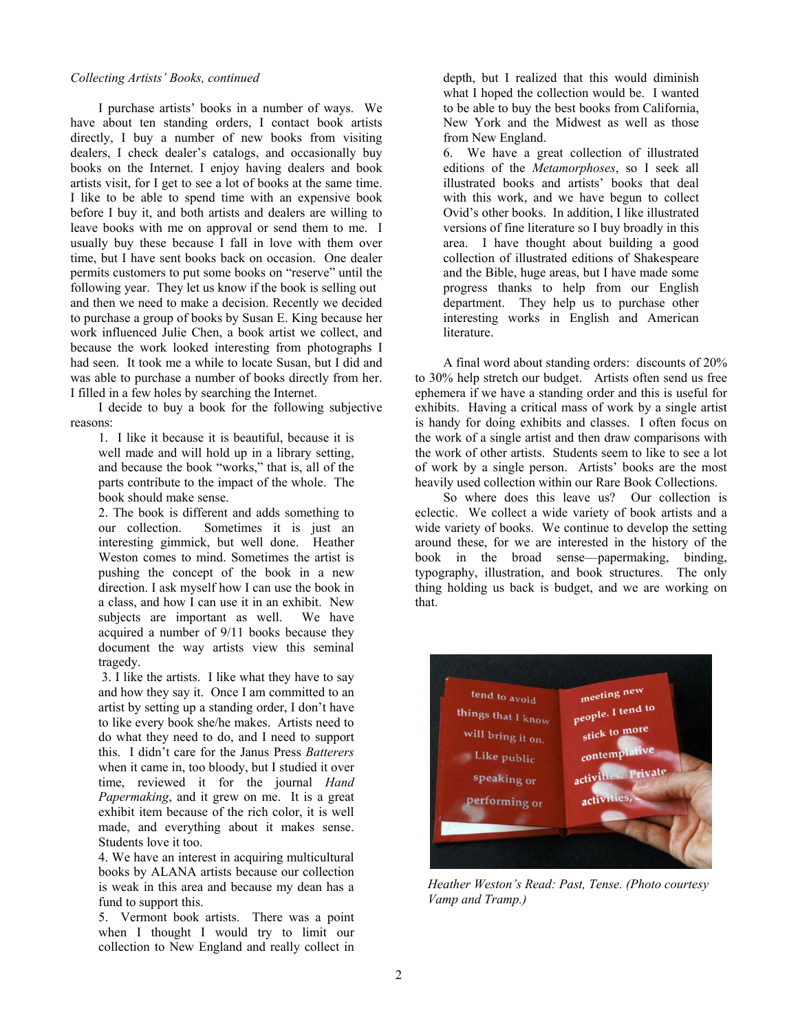#### *Collecting Artists' Books, continued*

I purchase artists' books in a number of ways. We have about ten standing orders, I contact book artists directly, I buy a number of new books from visiting dealers, I check dealer's catalogs, and occasionally buy books on the Internet. I enjoy having dealers and book artists visit, for I get to see a lot of books at the same time. I like to be able to spend time with an expensive book before I buy it, and both artists and dealers are willing to leave books with me on approval or send them to me. I usually buy these because I fall in love with them over time, but I have sent books back on occasion. One dealer permits customers to put some books on "reserve" until the following year. They let us know if the book is selling out and then we need to make a decision. Recently we decided to purchase a group of books by Susan E. King because her work influenced Julie Chen, a book artist we collect, and because the work looked interesting from photographs I had seen. It took me a while to locate Susan, but I did and was able to purchase a number of books directly from her. I filled in a few holes by searching the Internet.

I decide to buy a book for the following subjective reasons:

1. I like it because it is beautiful, because it is well made and will hold up in a library setting, and because the book "works," that is, all of the parts contribute to the impact of the whole. The book should make sense.

2. The book is different and adds something to our collection. Sometimes it is just an interesting gimmick, but well done. Heather Weston comes to mind. Sometimes the artist is pushing the concept of the book in a new direction. I ask myself how I can use the book in a class, and how I can use it in an exhibit. New subjects are important as well. We have acquired a number of 9/11 books because they document the way artists view this seminal tragedy.

 3. I like the artists. I like what they have to say and how they say it. Once I am committed to an artist by setting up a standing order, I don't have to like every book she/he makes. Artists need to do what they need to do, and I need to support this. I didn't care for the Janus Press *Batterers* when it came in, too bloody, but I studied it over time, reviewed it for the journal *Hand Papermaking*, and it grew on me. It is a great exhibit item because of the rich color, it is well made, and everything about it makes sense. Students love it too.

4. We have an interest in acquiring multicultural books by ALANA artists because our collection is weak in this area and because my dean has a fund to support this.

5. Vermont book artists. There was a point when I thought I would try to limit our collection to New England and really collect in depth, but I realized that this would diminish what I hoped the collection would be. I wanted to be able to buy the best books from California, New York and the Midwest as well as those from New England.

6. We have a great collection of illustrated editions of the *Metamorphoses*, so I seek all illustrated books and artists' books that deal with this work, and we have begun to collect Ovid's other books. In addition, I like illustrated versions of fine literature so I buy broadly in this area. I have thought about building a good collection of illustrated editions of Shakespeare and the Bible, huge areas, but I have made some progress thanks to help from our English department. They help us to purchase other interesting works in English and American literature.

A final word about standing orders: discounts of 20% to 30% help stretch our budget. Artists often send us free ephemera if we have a standing order and this is useful for exhibits. Having a critical mass of work by a single artist is handy for doing exhibits and classes. I often focus on the work of a single artist and then draw comparisons with the work of other artists. Students seem to like to see a lot of work by a single person. Artists' books are the most heavily used collection within our Rare Book Collections.

 So where does this leave us? Our collection is eclectic. We collect a wide variety of book artists and a wide variety of books. We continue to develop the setting around these, for we are interested in the history of the book in the broad sense—papermaking, binding, typography, illustration, and book structures. The only thing holding us back is budget, and we are working on that.



*Heather Weston's Read: Past, Tense. (Photo courtesy Vamp and Tramp.)*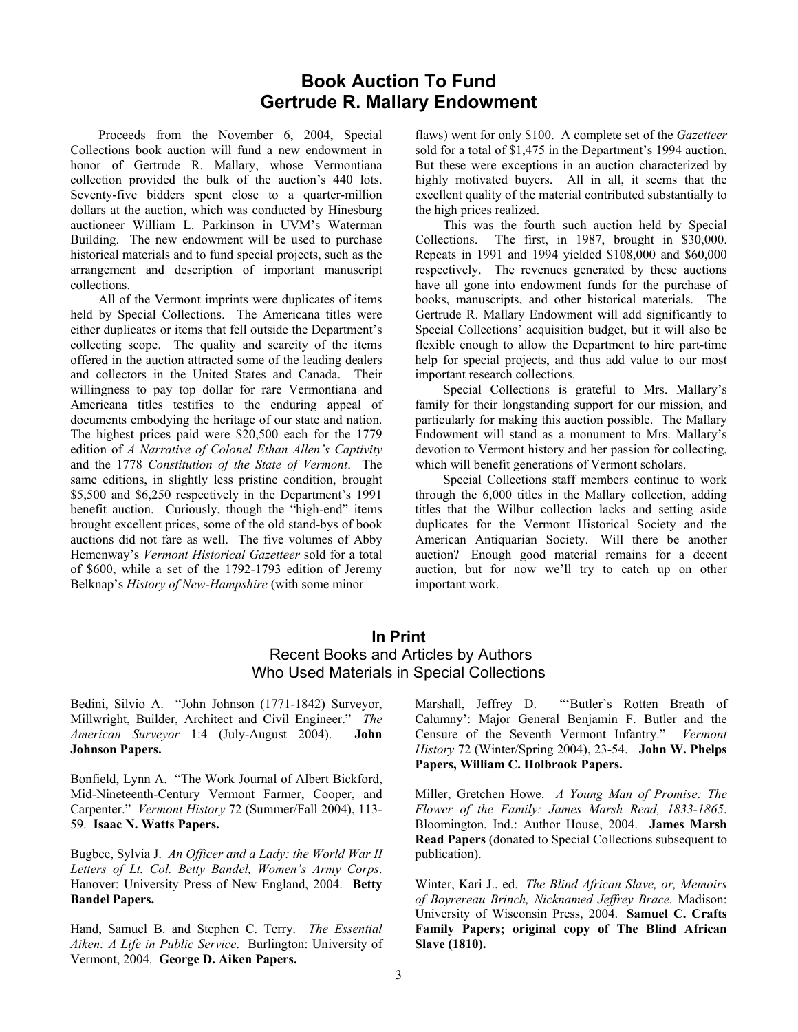## **Book Auction To Fund Gertrude R. Mallary Endowment**

Proceeds from the November 6, 2004, Special Collections book auction will fund a new endowment in honor of Gertrude R. Mallary, whose Vermontiana collection provided the bulk of the auction's 440 lots. Seventy-five bidders spent close to a quarter-million dollars at the auction, which was conducted by Hinesburg auctioneer William L. Parkinson in UVM's Waterman Building. The new endowment will be used to purchase historical materials and to fund special projects, such as the arrangement and description of important manuscript collections.

All of the Vermont imprints were duplicates of items held by Special Collections. The Americana titles were either duplicates or items that fell outside the Department's collecting scope. The quality and scarcity of the items offered in the auction attracted some of the leading dealers and collectors in the United States and Canada. Their willingness to pay top dollar for rare Vermontiana and Americana titles testifies to the enduring appeal of documents embodying the heritage of our state and nation. The highest prices paid were \$20,500 each for the 1779 edition of *A Narrative of Colonel Ethan Allen's Captivity* and the 1778 *Constitution of the State of Vermont*. The same editions, in slightly less pristine condition, brought \$5,500 and \$6,250 respectively in the Department's 1991 benefit auction. Curiously, though the "high-end" items brought excellent prices, some of the old stand-bys of book auctions did not fare as well. The five volumes of Abby Hemenway's *Vermont Historical Gazetteer* sold for a total of \$600, while a set of the 1792-1793 edition of Jeremy Belknap's *History of New-Hampshire* (with some minor

flaws) went for only \$100. A complete set of the *Gazetteer* sold for a total of \$1,475 in the Department's 1994 auction. But these were exceptions in an auction characterized by highly motivated buyers. All in all, it seems that the excellent quality of the material contributed substantially to the high prices realized.

 This was the fourth such auction held by Special Collections. The first, in 1987, brought in \$30,000. Repeats in 1991 and 1994 yielded \$108,000 and \$60,000 respectively. The revenues generated by these auctions have all gone into endowment funds for the purchase of books, manuscripts, and other historical materials. The Gertrude R. Mallary Endowment will add significantly to Special Collections' acquisition budget, but it will also be flexible enough to allow the Department to hire part-time help for special projects, and thus add value to our most important research collections.

 Special Collections is grateful to Mrs. Mallary's family for their longstanding support for our mission, and particularly for making this auction possible. The Mallary Endowment will stand as a monument to Mrs. Mallary's devotion to Vermont history and her passion for collecting, which will benefit generations of Vermont scholars.

Special Collections staff members continue to work through the 6,000 titles in the Mallary collection, adding titles that the Wilbur collection lacks and setting aside duplicates for the Vermont Historical Society and the American Antiquarian Society. Will there be another auction? Enough good material remains for a decent auction, but for now we'll try to catch up on other important work.

#### **In Print**  Recent Books and Articles by Authors Who Used Materials in Special Collections

Bedini, Silvio A. "John Johnson (1771-1842) Surveyor, Millwright, Builder, Architect and Civil Engineer." *The American Surveyor* 1:4 (July-August 2004). **John Johnson Papers.** 

Bonfield, Lynn A. "The Work Journal of Albert Bickford, Mid-Nineteenth-Century Vermont Farmer, Cooper, and Carpenter." *Vermont History* 72 (Summer/Fall 2004), 113- 59. **Isaac N. Watts Papers.**

Bugbee, Sylvia J. *An Officer and a Lady: the World War II Letters of Lt. Col. Betty Bandel, Women's Army Corps*. Hanover: University Press of New England, 2004. **Betty Bandel Papers.** 

Hand, Samuel B. and Stephen C. Terry. *The Essential Aiken: A Life in Public Service*. Burlington: University of Vermont, 2004. **George D. Aiken Papers.** 

Marshall, Jeffrey D. "'Butler's Rotten Breath of Calumny': Major General Benjamin F. Butler and the Censure of the Seventh Vermont Infantry." *Vermont History* 72 (Winter/Spring 2004), 23-54. **John W. Phelps Papers, William C. Holbrook Papers.**

Miller, Gretchen Howe. *A Young Man of Promise: The Flower of the Family: James Marsh Read, 1833-1865*. Bloomington, Ind.: Author House, 2004. **James Marsh Read Papers** (donated to Special Collections subsequent to publication).

Winter, Kari J., ed. *The Blind African Slave, or, Memoirs of Boyrereau Brinch, Nicknamed Jeffrey Brace.* Madison: University of Wisconsin Press, 2004. **Samuel C. Crafts Family Papers; original copy of The Blind African Slave (1810).**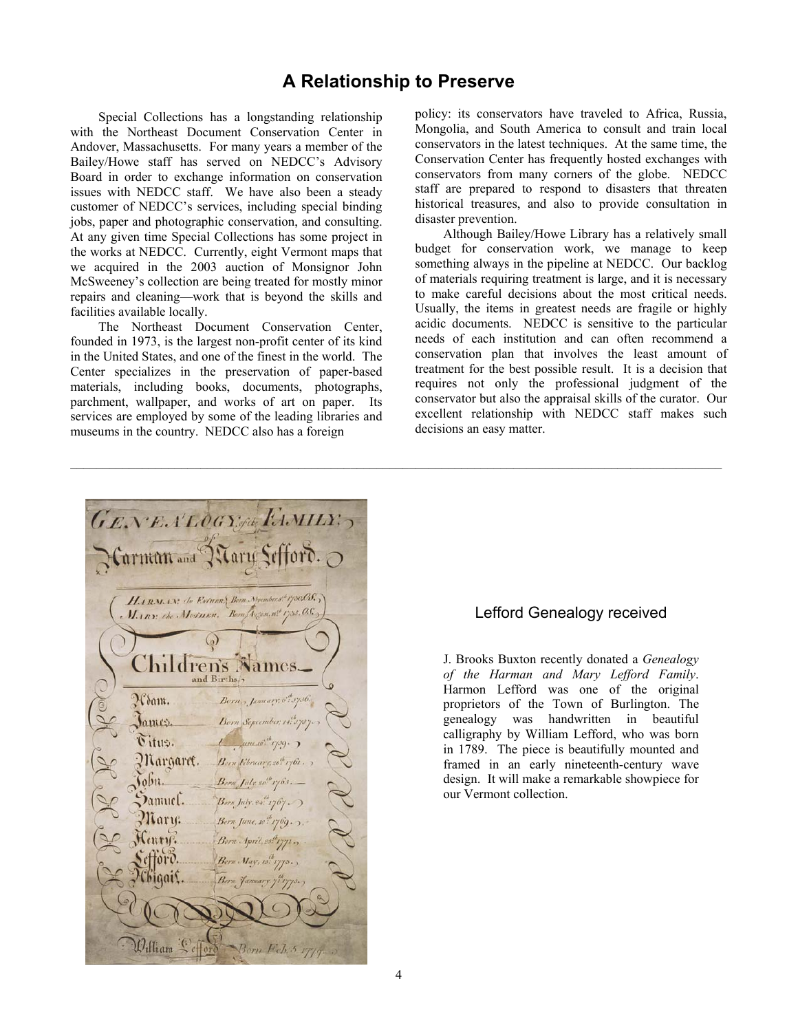## **A Relationship to Preserve**

Special Collections has a longstanding relationship with the Northeast Document Conservation Center in Andover, Massachusetts. For many years a member of the Bailey/Howe staff has served on NEDCC's Advisory Board in order to exchange information on conservation issues with NEDCC staff. We have also been a steady customer of NEDCC's services, including special binding jobs, paper and photographic conservation, and consulting. At any given time Special Collections has some project in the works at NEDCC. Currently, eight Vermont maps that we acquired in the 2003 auction of Monsignor John McSweeney's collection are being treated for mostly minor repairs and cleaning—work that is beyond the skills and facilities available locally.

 The Northeast Document Conservation Center, founded in 1973, is the largest non-profit center of its kind in the United States, and one of the finest in the world. The Center specializes in the preservation of paper-based materials, including books, documents, photographs, parchment, wallpaper, and works of art on paper. Its services are employed by some of the leading libraries and museums in the country. NEDCC also has a foreign

policy: its conservators have traveled to Africa, Russia, Mongolia, and South America to consult and train local conservators in the latest techniques. At the same time, the Conservation Center has frequently hosted exchanges with conservators from many corners of the globe. NEDCC staff are prepared to respond to disasters that threaten historical treasures, and also to provide consultation in disaster prevention.

Although Bailey/Howe Library has a relatively small budget for conservation work, we manage to keep something always in the pipeline at NEDCC. Our backlog of materials requiring treatment is large, and it is necessary to make careful decisions about the most critical needs. Usually, the items in greatest needs are fragile or highly acidic documents. NEDCC is sensitive to the particular needs of each institution and can often recommend a conservation plan that involves the least amount of treatment for the best possible result. It is a decision that requires not only the professional judgment of the conservator but also the appraisal skills of the curator. Our excellent relationship with NEDCC staff makes such decisions an easy matter.

GENEALOGYA EXMILY; Carman and Vary Se HARMAN: the Estinen, Bern Nyember of 1780,08, MARY: the Morner. Bern Magazine 1753. O.S. Children's Names. and Births Kam. James. Titus. Margaret. Born Fibruary 28. 1761. Jobn. Damuel. Born William Cefford Born Feb.5

#### Lefford Genealogy received

J. Brooks Buxton recently donated a *Genealogy of the Harman and Mary Lefford Family*. Harmon Lefford was one of the original proprietors of the Town of Burlington. The genealogy was handwritten in beautiful calligraphy by William Lefford, who was born in 1789. The piece is beautifully mounted and framed in an early nineteenth-century wave design. It will make a remarkable showpiece for our Vermont collection.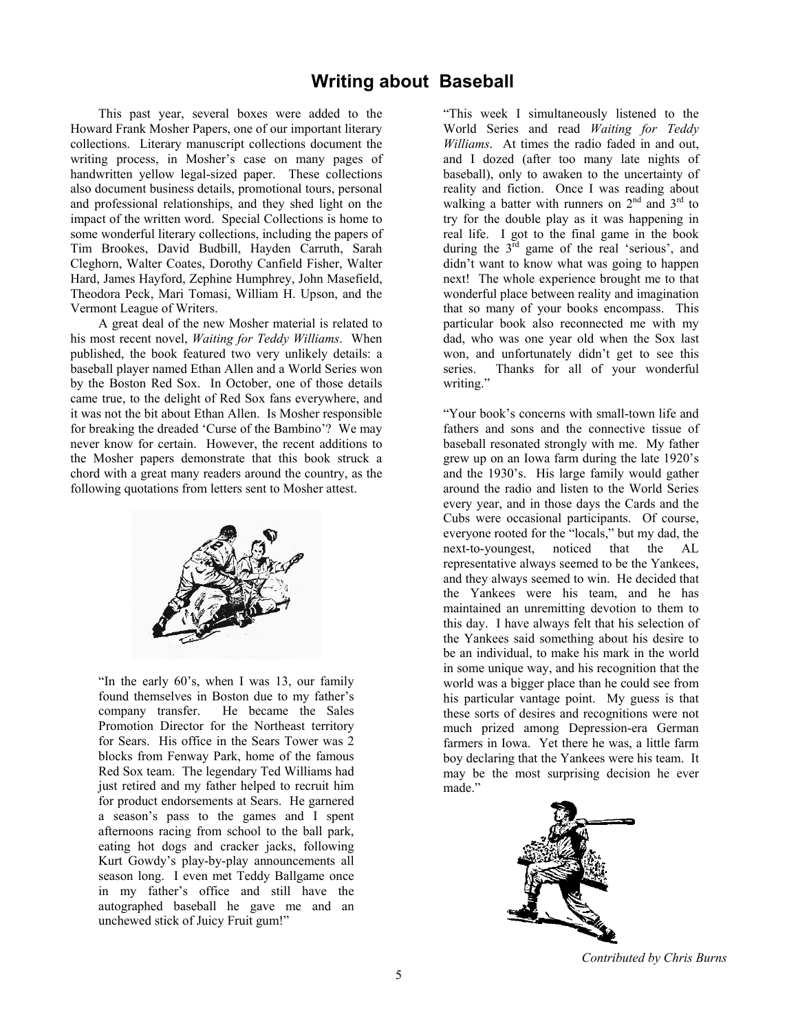### **Writing about Baseball**

This past year, several boxes were added to the Howard Frank Mosher Papers, one of our important literary collections. Literary manuscript collections document the writing process, in Mosher's case on many pages of handwritten yellow legal-sized paper. These collections also document business details, promotional tours, personal and professional relationships, and they shed light on the impact of the written word. Special Collections is home to some wonderful literary collections, including the papers of Tim Brookes, David Budbill, Hayden Carruth, Sarah Cleghorn, Walter Coates, Dorothy Canfield Fisher, Walter Hard, James Hayford, Zephine Humphrey, John Masefield, Theodora Peck, Mari Tomasi, William H. Upson, and the Vermont League of Writers.

A great deal of the new Mosher material is related to his most recent novel, *Waiting for Teddy Williams*. When published, the book featured two very unlikely details: a baseball player named Ethan Allen and a World Series won by the Boston Red Sox. In October, one of those details came true, to the delight of Red Sox fans everywhere, and it was not the bit about Ethan Allen. Is Mosher responsible for breaking the dreaded 'Curse of the Bambino'? We may never know for certain. However, the recent additions to the Mosher papers demonstrate that this book struck a chord with a great many readers around the country, as the following quotations from letters sent to Mosher attest.



"In the early 60's, when I was 13, our family found themselves in Boston due to my father's company transfer. He became the Sales Promotion Director for the Northeast territory for Sears. His office in the Sears Tower was 2 blocks from Fenway Park, home of the famous Red Sox team. The legendary Ted Williams had just retired and my father helped to recruit him for product endorsements at Sears. He garnered a season's pass to the games and I spent afternoons racing from school to the ball park, eating hot dogs and cracker jacks, following Kurt Gowdy's play-by-play announcements all season long. I even met Teddy Ballgame once in my father's office and still have the autographed baseball he gave me and an unchewed stick of Juicy Fruit gum!"

"This week I simultaneously listened to the World Series and read *Waiting for Teddy Williams*. At times the radio faded in and out, and I dozed (after too many late nights of baseball), only to awaken to the uncertainty of reality and fiction. Once I was reading about walking a batter with runners on  $2<sup>nd</sup>$  and  $3<sup>rd</sup>$  to try for the double play as it was happening in real life. I got to the final game in the book during the  $3^{\bar{r}d}$  game of the real 'serious', and didn't want to know what was going to happen next! The whole experience brought me to that wonderful place between reality and imagination that so many of your books encompass. This particular book also reconnected me with my dad, who was one year old when the Sox last won, and unfortunately didn't get to see this series. Thanks for all of your wonderful writing."

"Your book's concerns with small-town life and fathers and sons and the connective tissue of baseball resonated strongly with me. My father grew up on an Iowa farm during the late 1920's and the 1930's. His large family would gather around the radio and listen to the World Series every year, and in those days the Cards and the Cubs were occasional participants. Of course, everyone rooted for the "locals," but my dad, the next-to-youngest, noticed that the AL representative always seemed to be the Yankees, and they always seemed to win. He decided that the Yankees were his team, and he has maintained an unremitting devotion to them to this day. I have always felt that his selection of the Yankees said something about his desire to be an individual, to make his mark in the world in some unique way, and his recognition that the world was a bigger place than he could see from his particular vantage point. My guess is that these sorts of desires and recognitions were not much prized among Depression-era German farmers in Iowa. Yet there he was, a little farm boy declaring that the Yankees were his team. It may be the most surprising decision he ever made."



*Contributed by Chris Burns*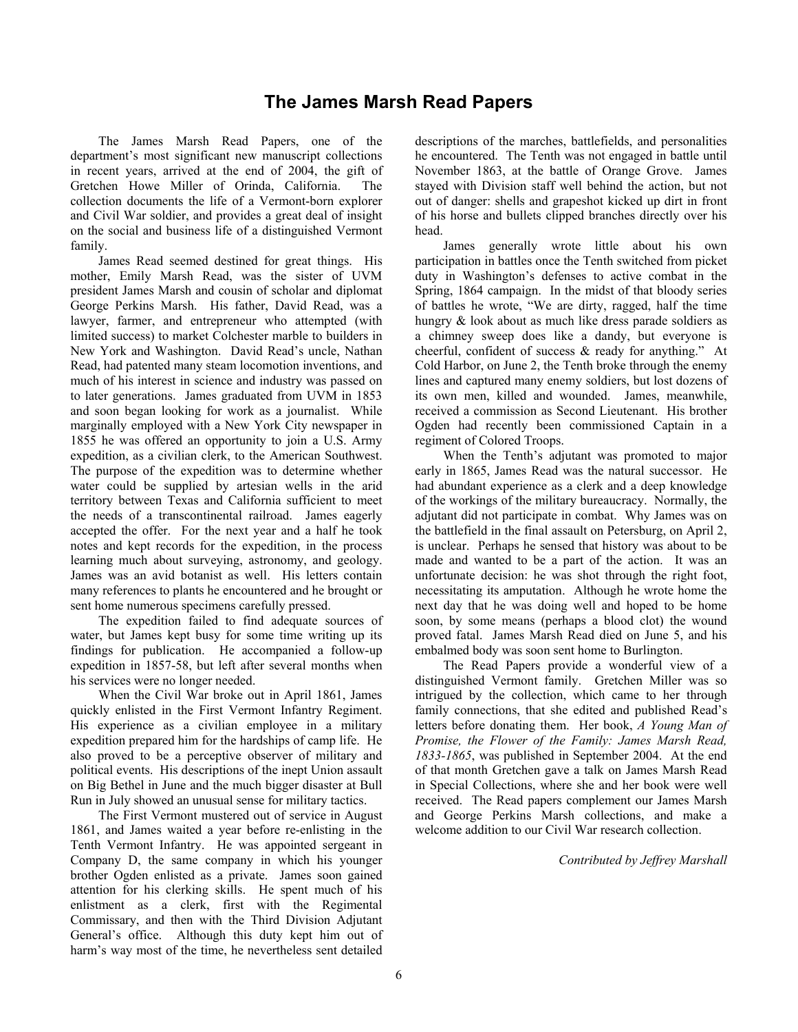### **The James Marsh Read Papers**

The James Marsh Read Papers, one of the department's most significant new manuscript collections in recent years, arrived at the end of 2004, the gift of Gretchen Howe Miller of Orinda, California. The collection documents the life of a Vermont-born explorer and Civil War soldier, and provides a great deal of insight on the social and business life of a distinguished Vermont family.

James Read seemed destined for great things. His mother, Emily Marsh Read, was the sister of UVM president James Marsh and cousin of scholar and diplomat George Perkins Marsh. His father, David Read, was a lawyer, farmer, and entrepreneur who attempted (with limited success) to market Colchester marble to builders in New York and Washington. David Read's uncle, Nathan Read, had patented many steam locomotion inventions, and much of his interest in science and industry was passed on to later generations. James graduated from UVM in 1853 and soon began looking for work as a journalist. While marginally employed with a New York City newspaper in 1855 he was offered an opportunity to join a U.S. Army expedition, as a civilian clerk, to the American Southwest. The purpose of the expedition was to determine whether water could be supplied by artesian wells in the arid territory between Texas and California sufficient to meet the needs of a transcontinental railroad. James eagerly accepted the offer. For the next year and a half he took notes and kept records for the expedition, in the process learning much about surveying, astronomy, and geology. James was an avid botanist as well. His letters contain many references to plants he encountered and he brought or sent home numerous specimens carefully pressed.

The expedition failed to find adequate sources of water, but James kept busy for some time writing up its findings for publication. He accompanied a follow-up expedition in 1857-58, but left after several months when his services were no longer needed.

When the Civil War broke out in April 1861, James quickly enlisted in the First Vermont Infantry Regiment. His experience as a civilian employee in a military expedition prepared him for the hardships of camp life. He also proved to be a perceptive observer of military and political events. His descriptions of the inept Union assault on Big Bethel in June and the much bigger disaster at Bull Run in July showed an unusual sense for military tactics.

The First Vermont mustered out of service in August 1861, and James waited a year before re-enlisting in the Tenth Vermont Infantry. He was appointed sergeant in Company D, the same company in which his younger brother Ogden enlisted as a private. James soon gained attention for his clerking skills. He spent much of his enlistment as a clerk, first with the Regimental Commissary, and then with the Third Division Adjutant General's office. Although this duty kept him out of harm's way most of the time, he nevertheless sent detailed

descriptions of the marches, battlefields, and personalities he encountered. The Tenth was not engaged in battle until November 1863, at the battle of Orange Grove. James stayed with Division staff well behind the action, but not out of danger: shells and grapeshot kicked up dirt in front of his horse and bullets clipped branches directly over his head.

James generally wrote little about his own participation in battles once the Tenth switched from picket duty in Washington's defenses to active combat in the Spring, 1864 campaign. In the midst of that bloody series of battles he wrote, "We are dirty, ragged, half the time hungry & look about as much like dress parade soldiers as a chimney sweep does like a dandy, but everyone is cheerful, confident of success & ready for anything." At Cold Harbor, on June 2, the Tenth broke through the enemy lines and captured many enemy soldiers, but lost dozens of its own men, killed and wounded. James, meanwhile, received a commission as Second Lieutenant. His brother Ogden had recently been commissioned Captain in a regiment of Colored Troops.

When the Tenth's adjutant was promoted to major early in 1865, James Read was the natural successor. He had abundant experience as a clerk and a deep knowledge of the workings of the military bureaucracy. Normally, the adjutant did not participate in combat. Why James was on the battlefield in the final assault on Petersburg, on April 2, is unclear. Perhaps he sensed that history was about to be made and wanted to be a part of the action. It was an unfortunate decision: he was shot through the right foot, necessitating its amputation. Although he wrote home the next day that he was doing well and hoped to be home soon, by some means (perhaps a blood clot) the wound proved fatal. James Marsh Read died on June 5, and his embalmed body was soon sent home to Burlington.

The Read Papers provide a wonderful view of a distinguished Vermont family. Gretchen Miller was so intrigued by the collection, which came to her through family connections, that she edited and published Read's letters before donating them. Her book, *A Young Man of Promise, the Flower of the Family: James Marsh Read, 1833-1865*, was published in September 2004. At the end of that month Gretchen gave a talk on James Marsh Read in Special Collections, where she and her book were well received. The Read papers complement our James Marsh and George Perkins Marsh collections, and make a welcome addition to our Civil War research collection.

*Contributed by Jeffrey Marshall*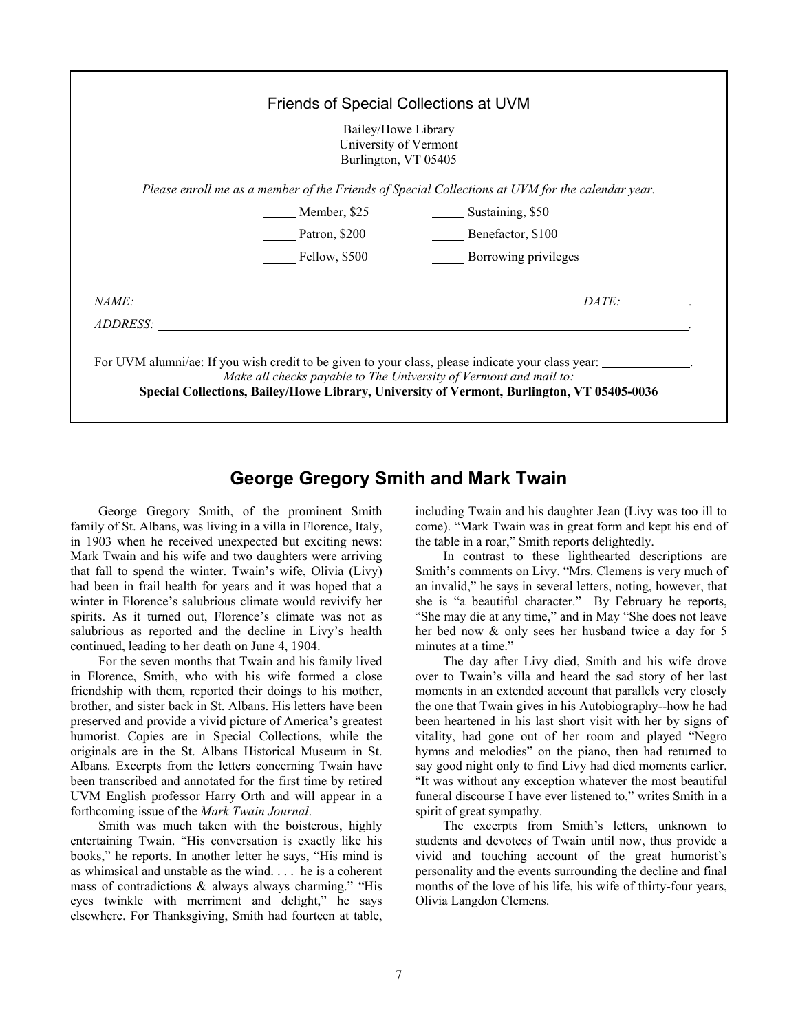| Bailey/Howe Library<br>University of Vermont<br>Burlington, VT 05405 |                                                                                                  |
|----------------------------------------------------------------------|--------------------------------------------------------------------------------------------------|
|                                                                      | Please enroll me as a member of the Friends of Special Collections at UVM for the calendar year. |
| Member, \$25 Sustaining, \$50                                        |                                                                                                  |
|                                                                      | Patron, \$200 Benefactor, \$100                                                                  |
| Fellow, \$500                                                        | Borrowing privileges                                                                             |
| NAME:                                                                | DATE:                                                                                            |
|                                                                      |                                                                                                  |

# **George Gregory Smith and Mark Twain**

George Gregory Smith, of the prominent Smith family of St. Albans, was living in a villa in Florence, Italy, in 1903 when he received unexpected but exciting news: Mark Twain and his wife and two daughters were arriving that fall to spend the winter. Twain's wife, Olivia (Livy) had been in frail health for years and it was hoped that a winter in Florence's salubrious climate would revivify her spirits. As it turned out, Florence's climate was not as salubrious as reported and the decline in Livy's health continued, leading to her death on June 4, 1904.

For the seven months that Twain and his family lived in Florence, Smith, who with his wife formed a close friendship with them, reported their doings to his mother, brother, and sister back in St. Albans. His letters have been preserved and provide a vivid picture of America's greatest humorist. Copies are in Special Collections, while the originals are in the St. Albans Historical Museum in St. Albans. Excerpts from the letters concerning Twain have been transcribed and annotated for the first time by retired UVM English professor Harry Orth and will appear in a forthcoming issue of the *Mark Twain Journal*.

Smith was much taken with the boisterous, highly entertaining Twain. "His conversation is exactly like his books," he reports. In another letter he says, "His mind is as whimsical and unstable as the wind. . . . he is a coherent mass of contradictions & always always charming." "His eyes twinkle with merriment and delight," he says elsewhere. For Thanksgiving, Smith had fourteen at table, including Twain and his daughter Jean (Livy was too ill to come). "Mark Twain was in great form and kept his end of the table in a roar," Smith reports delightedly.

In contrast to these lighthearted descriptions are Smith's comments on Livy. "Mrs. Clemens is very much of an invalid," he says in several letters, noting, however, that she is "a beautiful character." By February he reports, "She may die at any time," and in May "She does not leave her bed now & only sees her husband twice a day for 5 minutes at a time."

The day after Livy died, Smith and his wife drove over to Twain's villa and heard the sad story of her last moments in an extended account that parallels very closely the one that Twain gives in his Autobiography--how he had been heartened in his last short visit with her by signs of vitality, had gone out of her room and played "Negro hymns and melodies" on the piano, then had returned to say good night only to find Livy had died moments earlier. "It was without any exception whatever the most beautiful funeral discourse I have ever listened to," writes Smith in a spirit of great sympathy.

The excerpts from Smith's letters, unknown to students and devotees of Twain until now, thus provide a vivid and touching account of the great humorist's personality and the events surrounding the decline and final months of the love of his life, his wife of thirty-four years, Olivia Langdon Clemens.